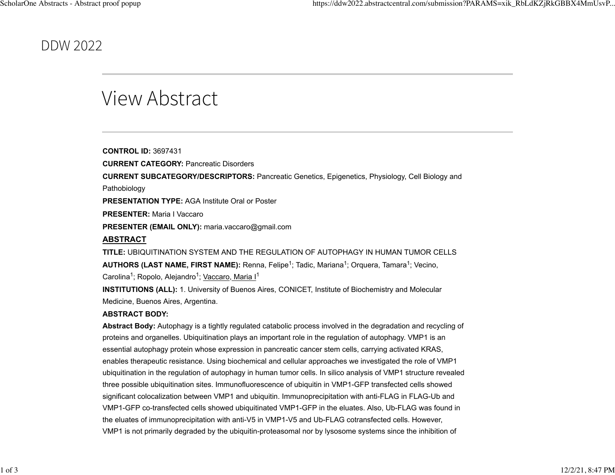## DDW 2022

## View Abstract

**CONTROL ID:** 3697431 **CURRENT CATEGORY:** Pancreatic Disorders **CURRENT SUBCATEGORY/DESCRIPTORS:** Pancreatic Genetics, Epigenetics, Physiology, Cell Biology and Pathobiology **PRESENTATION TYPE:** AGA Institute Oral or Poster **PRESENTER:** Maria I Vaccaro **PRESENTER (EMAIL ONLY):** maria.vaccaro@gmail.com **ABSTRACT TITLE:** UBIQUITINATION SYSTEM AND THE REGULATION OF AUTOPHAGY IN HUMAN TUMOR CELLS **AUTHORS (LAST NAME, FIRST NAME):** Renna, Felipe<sup>1</sup>; Tadic, Mariana<sup>1</sup>; Orquera, Tamara<sup>1</sup>; Vecino, Carolina<sup>1</sup>; Ropolo, Alejandro<sup>1</sup>; <u>Vaccaro, Maria I</u><sup>1</sup> **INSTITUTIONS (ALL):** 1. University of Buenos Aires, CONICET, Institute of Biochemistry and Molecular

Medicine, Buenos Aires, Argentina.

## **ABSTRACT BODY:**

**Abstract Body:** Autophagy is a tightly regulated catabolic process involved in the degradation and recycling of proteins and organelles. Ubiquitination plays an important role in the regulation of autophagy. VMP1 is an essential autophagy protein whose expression in pancreatic cancer stem cells, carrying activated KRAS, enables therapeutic resistance. Using biochemical and cellular approaches we investigated the role of VMP1 ubiquitination in the regulation of autophagy in human tumor cells. In silico analysis of VMP1 structure revealed three possible ubiquitination sites. Immunofluorescence of ubiquitin in VMP1-GFP transfected cells showed significant colocalization between VMP1 and ubiquitin. Immunoprecipitation with anti-FLAG in FLAG-Ub and VMP1-GFP co-transfected cells showed ubiquitinated VMP1-GFP in the eluates. Also, Ub-FLAG was found in the eluates of immunoprecipitation with anti-V5 in VMP1-V5 and Ub-FLAG cotransfected cells. However, VMP1 is not primarily degraded by the ubiquitin-proteasomal nor by lysosome systems since the inhibition of